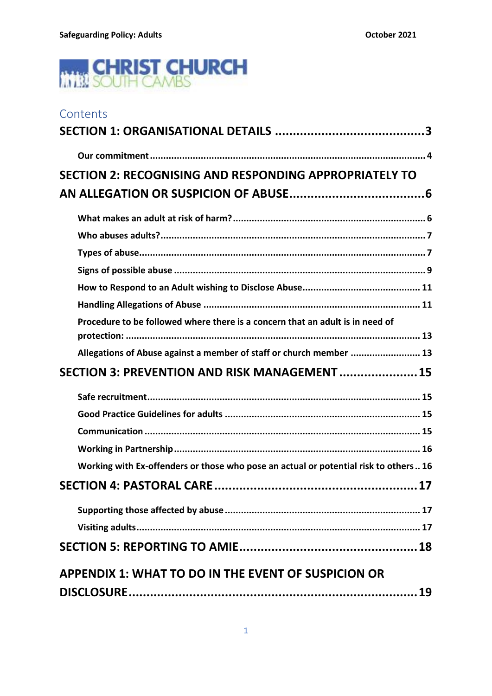

| Contents                                                                             |
|--------------------------------------------------------------------------------------|
|                                                                                      |
|                                                                                      |
| SECTION 2: RECOGNISING AND RESPONDING APPROPRIATELY TO                               |
|                                                                                      |
|                                                                                      |
|                                                                                      |
|                                                                                      |
|                                                                                      |
|                                                                                      |
|                                                                                      |
| Procedure to be followed where there is a concern that an adult is in need of        |
| Allegations of Abuse against a member of staff or church member  13                  |
| SECTION 3: PREVENTION AND RISK MANAGEMENT 15                                         |
|                                                                                      |
|                                                                                      |
|                                                                                      |
|                                                                                      |
| Working with Ex-offenders or those who pose an actual or potential risk to others 16 |
|                                                                                      |
|                                                                                      |
|                                                                                      |
|                                                                                      |
| <b>APPENDIX 1: WHAT TO DO IN THE EVENT OF SUSPICION OR</b>                           |
|                                                                                      |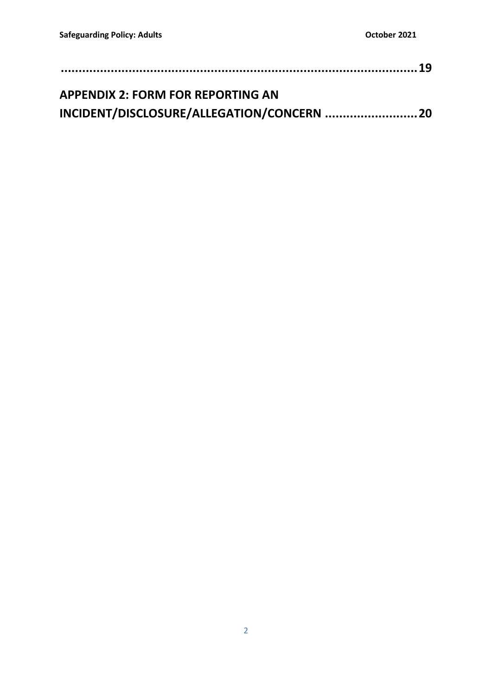| <b>APPENDIX 2: FORM FOR REPORTING AN</b>   |  |
|--------------------------------------------|--|
| INCIDENT/DISCLOSURE/ALLEGATION/CONCERN  20 |  |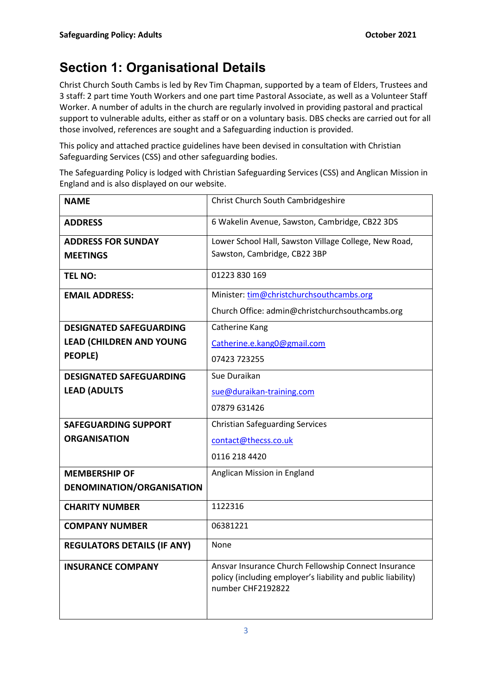# **Section 1: Organisational Details**

Christ Church South Cambs is led by Rev Tim Chapman, supported by a team of Elders, Trustees and 3 staff: 2 part time Youth Workers and one part time Pastoral Associate, as well as a Volunteer Staff Worker. A number of adults in the church are regularly involved in providing pastoral and practical support to vulnerable adults, either as staff or on a voluntary basis. DBS checks are carried out for all those involved, references are sought and a Safeguarding induction is provided.

This policy and attached practice guidelines have been devised in consultation with Christian Safeguarding Services (CSS) and other safeguarding bodies.

The Safeguarding Policy is lodged with Christian Safeguarding Services (CSS) and Anglican Mission in England and is also displayed on our website.

| <b>NAME</b>                        | Christ Church South Cambridgeshire                                                                                                        |
|------------------------------------|-------------------------------------------------------------------------------------------------------------------------------------------|
| <b>ADDRESS</b>                     | 6 Wakelin Avenue, Sawston, Cambridge, CB22 3DS                                                                                            |
| <b>ADDRESS FOR SUNDAY</b>          | Lower School Hall, Sawston Village College, New Road,                                                                                     |
| <b>MEETINGS</b>                    | Sawston, Cambridge, CB22 3BP                                                                                                              |
| <b>TEL NO:</b>                     | 01223 830 169                                                                                                                             |
| <b>EMAIL ADDRESS:</b>              | Minister: tim@christchurchsouthcambs.org                                                                                                  |
|                                    | Church Office: admin@christchurchsouthcambs.org                                                                                           |
| <b>DESIGNATED SAFEGUARDING</b>     | Catherine Kang                                                                                                                            |
| <b>LEAD (CHILDREN AND YOUNG</b>    | Catherine.e.kang0@gmail.com                                                                                                               |
| <b>PEOPLE)</b>                     | 07423 723255                                                                                                                              |
| <b>DESIGNATED SAFEGUARDING</b>     | Sue Duraikan                                                                                                                              |
| <b>LEAD (ADULTS</b>                | sue@duraikan-training.com                                                                                                                 |
|                                    | 07879 631426                                                                                                                              |
| <b>SAFEGUARDING SUPPORT</b>        | <b>Christian Safeguarding Services</b>                                                                                                    |
| <b>ORGANISATION</b>                | contact@thecss.co.uk                                                                                                                      |
|                                    | 0116 218 4420                                                                                                                             |
| <b>MEMBERSHIP OF</b>               | Anglican Mission in England                                                                                                               |
| DENOMINATION/ORGANISATION          |                                                                                                                                           |
| <b>CHARITY NUMBER</b>              | 1122316                                                                                                                                   |
| <b>COMPANY NUMBER</b>              | 06381221                                                                                                                                  |
| <b>REGULATORS DETAILS (IF ANY)</b> | None                                                                                                                                      |
| <b>INSURANCE COMPANY</b>           | Ansvar Insurance Church Fellowship Connect Insurance<br>policy (including employer's liability and public liability)<br>number CHF2192822 |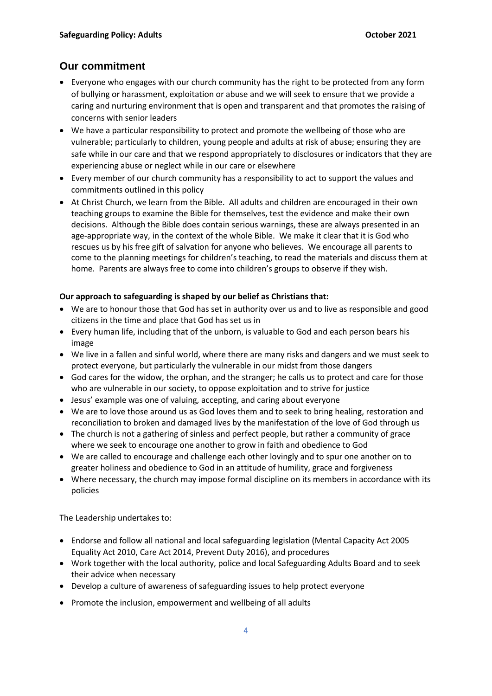# **Our commitment**

- Everyone who engages with our church community has the right to be protected from any form of bullying or harassment, exploitation or abuse and we will seek to ensure that we provide a caring and nurturing environment that is open and transparent and that promotes the raising of concerns with senior leaders
- We have a particular responsibility to protect and promote the wellbeing of those who are vulnerable; particularly to children, young people and adults at risk of abuse; ensuring they are safe while in our care and that we respond appropriately to disclosures or indicators that they are experiencing abuse or neglect while in our care or elsewhere
- Every member of our church community has a responsibility to act to support the values and commitments outlined in this policy
- At Christ Church, we learn from the Bible. All adults and children are encouraged in their own teaching groups to examine the Bible for themselves, test the evidence and make their own decisions. Although the Bible does contain serious warnings, these are always presented in an age-appropriate way, in the context of the whole Bible. We make it clear that it is God who rescues us by his free gift of salvation for anyone who believes. We encourage all parents to come to the planning meetings for children's teaching, to read the materials and discuss them at home. Parents are always free to come into children's groups to observe if they wish.

## **Our approach to safeguarding is shaped by our belief as Christians that:**

- We are to honour those that God has set in authority over us and to live as responsible and good citizens in the time and place that God has set us in
- Every human life, including that of the unborn, is valuable to God and each person bears his image
- We live in a fallen and sinful world, where there are many risks and dangers and we must seek to protect everyone, but particularly the vulnerable in our midst from those dangers
- God cares for the widow, the orphan, and the stranger; he calls us to protect and care for those who are vulnerable in our society, to oppose exploitation and to strive for justice
- Jesus' example was one of valuing, accepting, and caring about everyone
- We are to love those around us as God loves them and to seek to bring healing, restoration and reconciliation to broken and damaged lives by the manifestation of the love of God through us
- The church is not a gathering of sinless and perfect people, but rather a community of grace where we seek to encourage one another to grow in faith and obedience to God
- We are called to encourage and challenge each other lovingly and to spur one another on to greater holiness and obedience to God in an attitude of humility, grace and forgiveness
- Where necessary, the church may impose formal discipline on its members in accordance with its policies

The Leadership undertakes to:

- Endorse and follow all national and local safeguarding legislation (Mental Capacity Act 2005 Equality Act 2010, Care Act 2014, Prevent Duty 2016), and procedures
- Work together with the local authority, police and local Safeguarding Adults Board and to seek their advice when necessary
- Develop a culture of awareness of safeguarding issues to help protect everyone
- Promote the inclusion, empowerment and wellbeing of all adults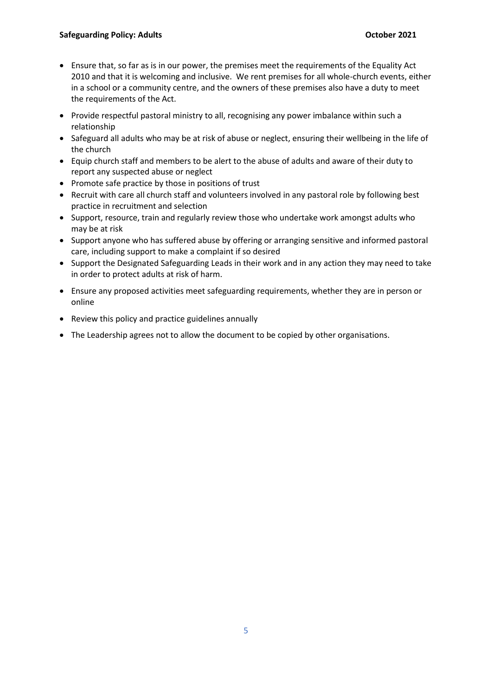- Ensure that, so far as is in our power, the premises meet the requirements of the Equality Act 2010 and that it is welcoming and inclusive. We rent premises for all whole-church events, either in a school or a community centre, and the owners of these premises also have a duty to meet the requirements of the Act.
- Provide respectful pastoral ministry to all, recognising any power imbalance within such a relationship
- Safeguard all adults who may be at risk of abuse or neglect, ensuring their wellbeing in the life of the church
- Equip church staff and members to be alert to the abuse of adults and aware of their duty to report any suspected abuse or neglect
- Promote safe practice by those in positions of trust
- Recruit with care all church staff and volunteers involved in any pastoral role by following best practice in recruitment and selection
- Support, resource, train and regularly review those who undertake work amongst adults who may be at risk
- Support anyone who has suffered abuse by offering or arranging sensitive and informed pastoral care, including support to make a complaint if so desired
- Support the Designated Safeguarding Leads in their work and in any action they may need to take in order to protect adults at risk of harm.
- Ensure any proposed activities meet safeguarding requirements, whether they are in person or online
- Review this policy and practice guidelines annually
- The Leadership agrees not to allow the document to be copied by other organisations.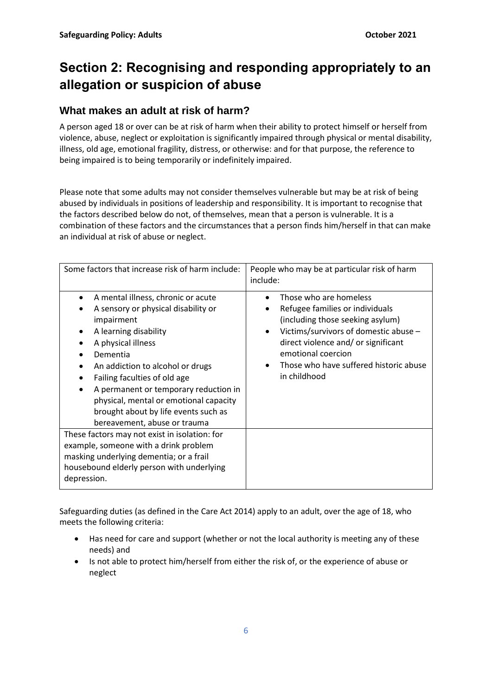# **Section 2: Recognising and responding appropriately to an allegation or suspicion of abuse**

# **What makes an adult at risk of harm?**

A person aged 18 or over can be at risk of harm when their ability to protect himself or herself from violence, abuse, neglect or exploitation is significantly impaired through physical or mental disability, illness, old age, emotional fragility, distress, or otherwise: and for that purpose, the reference to being impaired is to being temporarily or indefinitely impaired.

Please note that some adults may not consider themselves vulnerable but may be at risk of being abused by individuals in positions of leadership and responsibility. It is important to recognise that the factors described below do not, of themselves, mean that a person is vulnerable. It is a combination of these factors and the circumstances that a person finds him/herself in that can make an individual at risk of abuse or neglect.

| Some factors that increase risk of harm include:                                                                                                                                                                                                                                                                                                                                  | People who may be at particular risk of harm<br>include:                                                                                                                                                                                                                                |
|-----------------------------------------------------------------------------------------------------------------------------------------------------------------------------------------------------------------------------------------------------------------------------------------------------------------------------------------------------------------------------------|-----------------------------------------------------------------------------------------------------------------------------------------------------------------------------------------------------------------------------------------------------------------------------------------|
| A mental illness, chronic or acute<br>A sensory or physical disability or<br>impairment<br>A learning disability<br>A physical illness<br>Dementia<br>An addiction to alcohol or drugs<br>Failing faculties of old age<br>A permanent or temporary reduction in<br>physical, mental or emotional capacity<br>brought about by life events such as<br>bereavement, abuse or trauma | Those who are homeless<br>Refugee families or individuals<br>$\bullet$<br>(including those seeking asylum)<br>Victims/survivors of domestic abuse -<br>$\bullet$<br>direct violence and/ or significant<br>emotional coercion<br>Those who have suffered historic abuse<br>in childhood |
| These factors may not exist in isolation: for<br>example, someone with a drink problem<br>masking underlying dementia; or a frail<br>housebound elderly person with underlying<br>depression.                                                                                                                                                                                     |                                                                                                                                                                                                                                                                                         |

Safeguarding duties (as defined in the Care Act 2014) apply to an adult, over the age of 18, who meets the following criteria:

- Has need for care and support (whether or not the local authority is meeting any of these needs) and
- Is not able to protect him/herself from either the risk of, or the experience of abuse or neglect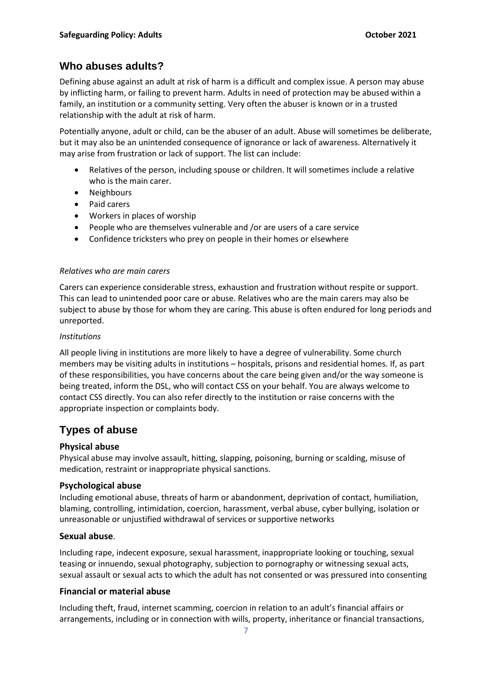## **Who abuses adults?**

Defining abuse against an adult at risk of harm is a difficult and complex issue. A person may abuse by inflicting harm, or failing to prevent harm. Adults in need of protection may be abused within a family, an institution or a community setting. Very often the abuser is known or in a trusted relationship with the adult at risk of harm.

Potentially anyone, adult or child, can be the abuser of an adult. Abuse will sometimes be deliberate, but it may also be an unintended consequence of ignorance or lack of awareness. Alternatively it may arise from frustration or lack of support. The list can include:

- Relatives of the person, including spouse or children. It will sometimes include a relative who is the main carer.
- Neighbours
- Paid carers
- Workers in places of worship
- People who are themselves vulnerable and /or are users of a care service
- Confidence tricksters who prey on people in their homes or elsewhere

#### *Relatives who are main carers*

Carers can experience considerable stress, exhaustion and frustration without respite or support. This can lead to unintended poor care or abuse. Relatives who are the main carers may also be subject to abuse by those for whom they are caring. This abuse is often endured for long periods and unreported.

#### *Institutions*

All people living in institutions are more likely to have a degree of vulnerability. Some church members may be visiting adults in institutions – hospitals, prisons and residential homes. If, as part of these responsibilities, you have concerns about the care being given and/or the way someone is being treated, inform the DSL, who will contact CSS on your behalf. You are always welcome to contact CSS directly. You can also refer directly to the institution or raise concerns with the appropriate inspection or complaints body.

## **Types of abuse**

## **Physical abuse**

Physical abuse may involve assault, hitting, slapping, poisoning, burning or scalding, misuse of medication, restraint or inappropriate physical sanctions.

#### **Psychological abuse**

Including emotional abuse, threats of harm or abandonment, deprivation of contact, humiliation, blaming, controlling, intimidation, coercion, harassment, verbal abuse, cyber bullying, isolation or unreasonable or unjustified withdrawal of services or supportive networks

#### **Sexual abuse**.

Including rape, indecent exposure, sexual harassment, inappropriate looking or touching, sexual teasing or innuendo, sexual photography, subjection to pornography or witnessing sexual acts, sexual assault or sexual acts to which the adult has not consented or was pressured into consenting

#### **Financial or material abuse**

Including theft, fraud, internet scamming, coercion in relation to an adult's financial affairs or arrangements, including or in connection with wills, property, inheritance or financial transactions,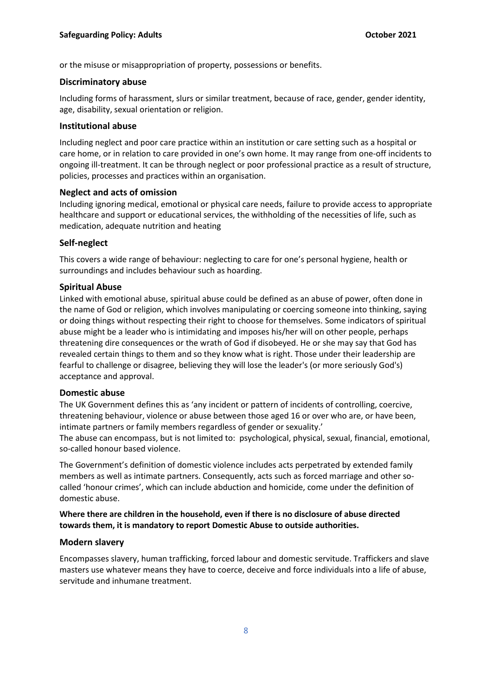or the misuse or misappropriation of property, possessions or benefits.

#### **Discriminatory abuse**

Including forms of harassment, slurs or similar treatment, because of race, gender, gender identity, age, disability, sexual orientation or religion.

#### **Institutional abuse**

Including neglect and poor care practice within an institution or care setting such as a hospital or care home, or in relation to care provided in one's own home. It may range from one-off incidents to ongoing ill-treatment. It can be through neglect or poor professional practice as a result of structure, policies, processes and practices within an organisation.

#### **Neglect and acts of omission**

Including ignoring medical, emotional or physical care needs, failure to provide access to appropriate healthcare and support or educational services, the withholding of the necessities of life, such as medication, adequate nutrition and heating

#### **Self-neglect**

This covers a wide range of behaviour: neglecting to care for one's personal hygiene, health or surroundings and includes behaviour such as hoarding.

#### **Spiritual Abuse**

Linked with emotional abuse, spiritual abuse could be defined as an abuse of power, often done in the name of God or religion, which involves manipulating or coercing someone into thinking, saying or doing things without respecting their right to choose for themselves. Some indicators of spiritual abuse might be a leader who is intimidating and imposes his/her will on other people, perhaps threatening dire consequences or the wrath of God if disobeyed. He or she may say that God has revealed certain things to them and so they know what is right. Those under their leadership are fearful to challenge or disagree, believing they will lose the leader's (or more seriously God's) acceptance and approval.

#### **Domestic abuse**

The UK Government defines this as 'any incident or pattern of incidents of controlling, coercive, threatening behaviour, violence or abuse between those aged 16 or over who are, or have been, intimate partners or family members regardless of gender or sexuality.'

The abuse can encompass, but is not limited to: psychological, physical, sexual, financial, emotional, so-called honour based violence.

The Government's definition of domestic violence includes acts perpetrated by extended family members as well as intimate partners. Consequently, acts such as forced marriage and other socalled 'honour crimes', which can include abduction and homicide, come under the definition of domestic abuse.

### **Where there are children in the household, even if there is no disclosure of abuse directed towards them, it is mandatory to report Domestic Abuse to outside authorities.**

#### **Modern slavery**

Encompasses slavery, human trafficking, forced labour and domestic servitude. Traffickers and slave masters use whatever means they have to coerce, deceive and force individuals into a life of abuse, servitude and inhumane treatment.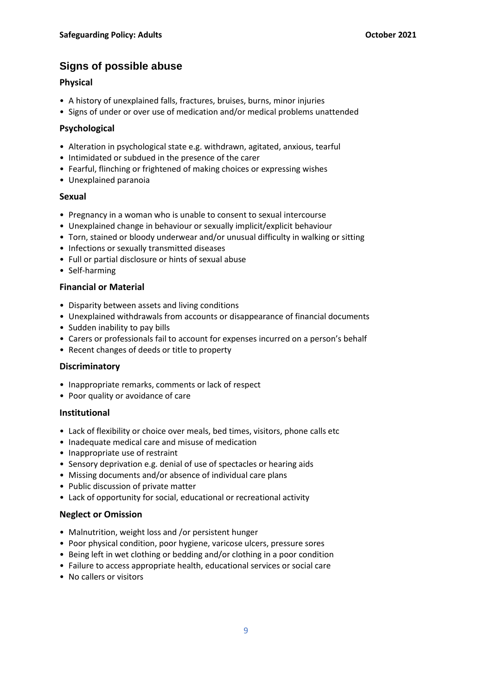# **Signs of possible abuse**

## **Physical**

- A history of unexplained falls, fractures, bruises, burns, minor injuries
- Signs of under or over use of medication and/or medical problems unattended

### **Psychological**

- Alteration in psychological state e.g. withdrawn, agitated, anxious, tearful
- Intimidated or subdued in the presence of the carer
- Fearful, flinching or frightened of making choices or expressing wishes
- Unexplained paranoia

### **Sexual**

- Pregnancy in a woman who is unable to consent to sexual intercourse
- Unexplained change in behaviour or sexually implicit/explicit behaviour
- Torn, stained or bloody underwear and/or unusual difficulty in walking or sitting
- Infections or sexually transmitted diseases
- Full or partial disclosure or hints of sexual abuse
- Self-harming

### **Financial or Material**

- Disparity between assets and living conditions
- Unexplained withdrawals from accounts or disappearance of financial documents
- Sudden inability to pay bills
- Carers or professionals fail to account for expenses incurred on a person's behalf
- Recent changes of deeds or title to property

## **Discriminatory**

- Inappropriate remarks, comments or lack of respect
- Poor quality or avoidance of care

## **Institutional**

- Lack of flexibility or choice over meals, bed times, visitors, phone calls etc
- Inadequate medical care and misuse of medication
- Inappropriate use of restraint
- Sensory deprivation e.g. denial of use of spectacles or hearing aids
- Missing documents and/or absence of individual care plans
- Public discussion of private matter
- Lack of opportunity for social, educational or recreational activity

#### **Neglect or Omission**

- Malnutrition, weight loss and /or persistent hunger
- Poor physical condition, poor hygiene, varicose ulcers, pressure sores
- Being left in wet clothing or bedding and/or clothing in a poor condition
- Failure to access appropriate health, educational services or social care
- No callers or visitors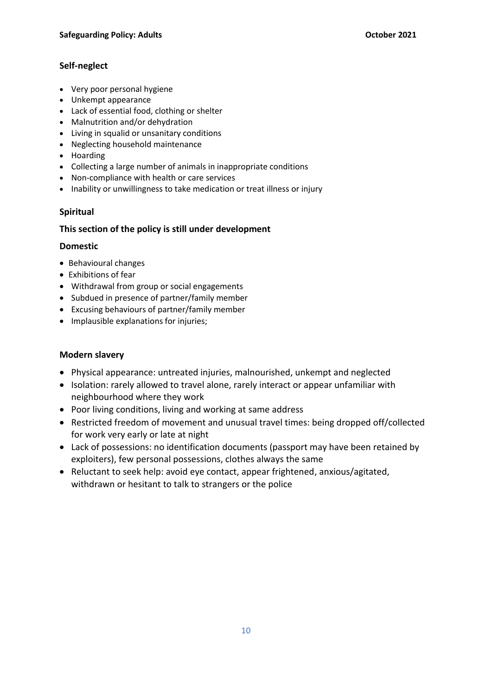## **Self-neglect**

- Very poor personal hygiene
- Unkempt appearance
- Lack of essential food, clothing or shelter
- Malnutrition and/or dehydration
- Living in squalid or unsanitary conditions
- Neglecting household maintenance
- Hoarding
- Collecting a large number of animals in inappropriate conditions
- Non-compliance with health or care services
- Inability or unwillingness to take medication or treat illness or injury

## **Spiritual**

### **This section of the policy is still under development**

### **Domestic**

- Behavioural changes
- Exhibitions of fear
- Withdrawal from group or social engagements
- Subdued in presence of partner/family member
- Excusing behaviours of partner/family member
- Implausible explanations for injuries;

## **Modern slavery**

- Physical appearance: untreated injuries, malnourished, unkempt and neglected
- Isolation: rarely allowed to travel alone, rarely interact or appear unfamiliar with neighbourhood where they work
- Poor living conditions, living and working at same address
- Restricted freedom of movement and unusual travel times: being dropped off/collected for work very early or late at night
- Lack of possessions: no identification documents (passport may have been retained by exploiters), few personal possessions, clothes always the same
- Reluctant to seek help: avoid eye contact, appear frightened, anxious/agitated, withdrawn or hesitant to talk to strangers or the police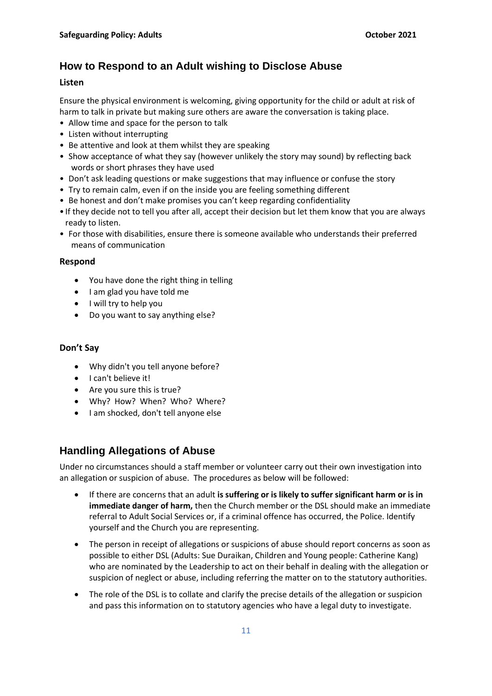# **How to Respond to an Adult wishing to Disclose Abuse**

#### **Listen**

Ensure the physical environment is welcoming, giving opportunity for the child or adult at risk of harm to talk in private but making sure others are aware the conversation is taking place.

- Allow time and space for the person to talk
- Listen without interrupting
- Be attentive and look at them whilst they are speaking
- Show acceptance of what they say (however unlikely the story may sound) by reflecting back words or short phrases they have used
- Don't ask leading questions or make suggestions that may influence or confuse the story
- Try to remain calm, even if on the inside you are feeling something different
- Be honest and don't make promises you can't keep regarding confidentiality
- If they decide not to tell you after all, accept their decision but let them know that you are always ready to listen.
- For those with disabilities, ensure there is someone available who understands their preferred means of communication

#### **Respond**

- You have done the right thing in telling
- I am glad you have told me
- I will try to help you
- Do you want to say anything else?

### **Don't Say**

- Why didn't you tell anyone before?
- I can't believe it!
- Are you sure this is true?
- Why? How? When? Who? Where?
- I am shocked, don't tell anyone else

## **Handling Allegations of Abuse**

Under no circumstances should a staff member or volunteer carry out their own investigation into an allegation or suspicion of abuse. The procedures as below will be followed:

- If there are concerns that an adult **is suffering or is likely to suffer significant harm or is in immediate danger of harm,** then the Church member or the DSL should make an immediate referral to Adult Social Services or, if a criminal offence has occurred, the Police. Identify yourself and the Church you are representing.
- The person in receipt of allegations or suspicions of abuse should report concerns as soon as possible to either DSL (Adults: Sue Duraikan, Children and Young people: Catherine Kang) who are nominated by the Leadership to act on their behalf in dealing with the allegation or suspicion of neglect or abuse, including referring the matter on to the statutory authorities.
- The role of the DSL is to collate and clarify the precise details of the allegation or suspicion and pass this information on to statutory agencies who have a legal duty to investigate.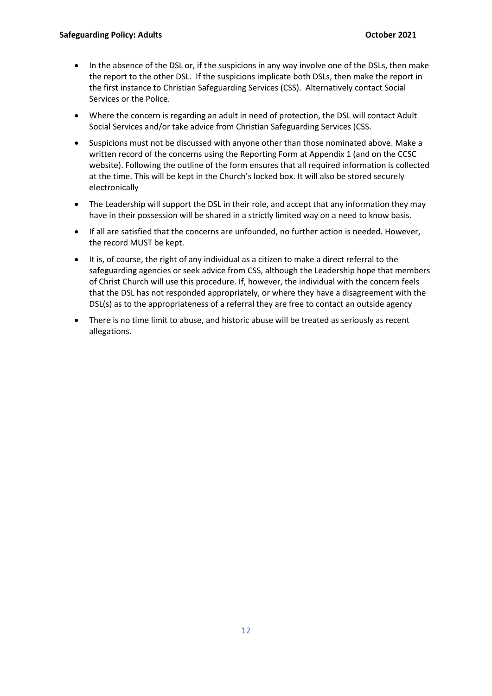- In the absence of the DSL or, if the suspicions in any way involve one of the DSLs, then make the report to the other DSL. If the suspicions implicate both DSLs, then make the report in the first instance to Christian Safeguarding Services (CSS). Alternatively contact Social Services or the Police.
- Where the concern is regarding an adult in need of protection, the DSL will contact Adult Social Services and/or take advice from Christian Safeguarding Services (CSS.
- Suspicions must not be discussed with anyone other than those nominated above. Make a written record of the concerns using the Reporting Form at Appendix 1 (and on the CCSC website). Following the outline of the form ensures that all required information is collected at the time. This will be kept in the Church's locked box. It will also be stored securely electronically
- The Leadership will support the DSL in their role, and accept that any information they may have in their possession will be shared in a strictly limited way on a need to know basis.
- If all are satisfied that the concerns are unfounded, no further action is needed. However, the record MUST be kept.
- It is, of course, the right of any individual as a citizen to make a direct referral to the safeguarding agencies or seek advice from CSS, although the Leadership hope that members of Christ Church will use this procedure. If, however, the individual with the concern feels that the DSL has not responded appropriately, or where they have a disagreement with the DSL(s) as to the appropriateness of a referral they are free to contact an outside agency
- There is no time limit to abuse, and historic abuse will be treated as seriously as recent allegations.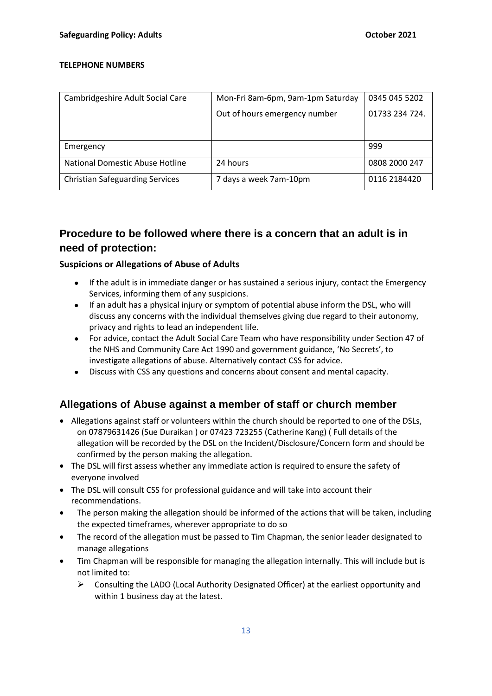#### **TELEPHONE NUMBERS**

| Cambridgeshire Adult Social Care       | Mon-Fri 8am-6pm, 9am-1pm Saturday | 0345 045 5202  |
|----------------------------------------|-----------------------------------|----------------|
|                                        | Out of hours emergency number     | 01733 234 724. |
|                                        |                                   |                |
|                                        |                                   |                |
| Emergency                              |                                   | 999            |
| National Domestic Abuse Hotline        | 24 hours                          | 0808 2000 247  |
| <b>Christian Safeguarding Services</b> | 7 days a week 7am-10pm            | 0116 2184420   |

# **Procedure to be followed where there is a concern that an adult is in need of protection:**

### **Suspicions or Allegations of Abuse of Adults**

- If the adult is in immediate danger or has sustained a serious injury, contact the Emergency Services, informing them of any suspicions.
- If an adult has a physical injury or symptom of potential abuse inform the DSL, who will discuss any concerns with the individual themselves giving due regard to their autonomy, privacy and rights to lead an independent life.
- For advice, contact the Adult Social Care Team who have responsibility under Section 47 of the NHS and Community Care Act 1990 and government guidance, 'No Secrets', to investigate allegations of abuse. Alternatively contact CSS for advice.
- Discuss with CSS any questions and concerns about consent and mental capacity.

## **Allegations of Abuse against a member of staff or church member**

- Allegations against staff or volunteers within the church should be reported to one of the DSLs, on 07879631426 (Sue Duraikan ) or 07423 723255 (Catherine Kang) ( Full details of the allegation will be recorded by the DSL on the Incident/Disclosure/Concern form and should be confirmed by the person making the allegation.
- The DSL will first assess whether any immediate action is required to ensure the safety of everyone involved
- The DSL will consult CSS for professional guidance and will take into account their recommendations.
- The person making the allegation should be informed of the actions that will be taken, including the expected timeframes, wherever appropriate to do so
- The record of the allegation must be passed to Tim Chapman, the senior leader designated to manage allegations
- Tim Chapman will be responsible for managing the allegation internally. This will include but is not limited to:
	- ➢ Consulting the LADO (Local Authority Designated Officer) at the earliest opportunity and within 1 business day at the latest.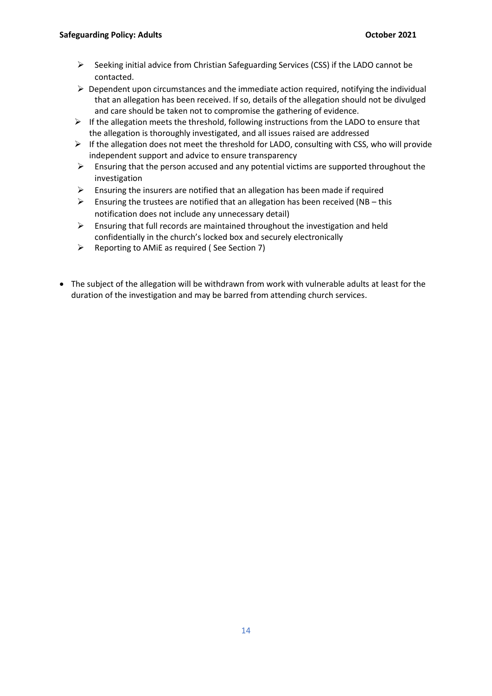- ➢ Seeking initial advice from Christian Safeguarding Services (CSS) if the LADO cannot be contacted.
- $\triangleright$  Dependent upon circumstances and the immediate action required, notifying the individual that an allegation has been received. If so, details of the allegation should not be divulged and care should be taken not to compromise the gathering of evidence.
- $\triangleright$  If the allegation meets the threshold, following instructions from the LADO to ensure that the allegation is thoroughly investigated, and all issues raised are addressed
- $\triangleright$  If the allegation does not meet the threshold for LADO, consulting with CSS, who will provide independent support and advice to ensure transparency
- $\triangleright$  Ensuring that the person accused and any potential victims are supported throughout the investigation
- $\triangleright$  Ensuring the insurers are notified that an allegation has been made if required
- $\triangleright$  Ensuring the trustees are notified that an allegation has been received (NB this notification does not include any unnecessary detail)
- $\triangleright$  Ensuring that full records are maintained throughout the investigation and held confidentially in the church's locked box and securely electronically
- ➢ Reporting to AMiE as required ( See Section 7)
- The subject of the allegation will be withdrawn from work with vulnerable adults at least for the duration of the investigation and may be barred from attending church services.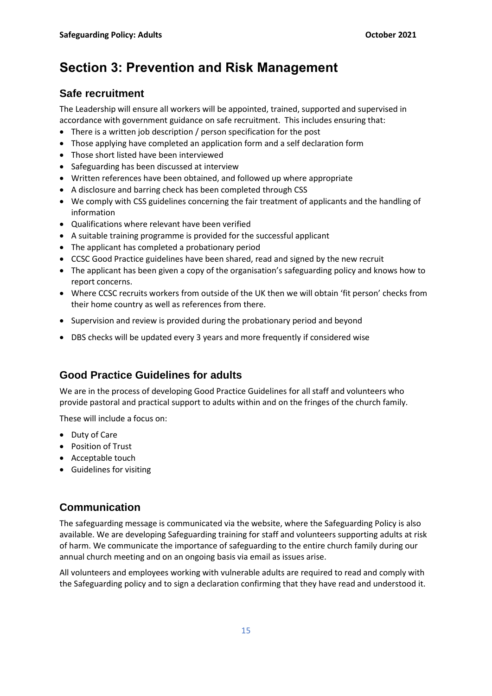# **Section 3: Prevention and Risk Management**

# **Safe recruitment**

The Leadership will ensure all workers will be appointed, trained, supported and supervised in accordance with government guidance on safe recruitment. This includes ensuring that:

- There is a written job description / person specification for the post
- Those applying have completed an application form and a self declaration form
- Those short listed have been interviewed
- Safeguarding has been discussed at interview
- Written references have been obtained, and followed up where appropriate
- A disclosure and barring check has been completed through CSS
- We comply with CSS guidelines concerning the fair treatment of applicants and the handling of information
- Qualifications where relevant have been verified
- A suitable training programme is provided for the successful applicant
- The applicant has completed a probationary period
- CCSC Good Practice guidelines have been shared, read and signed by the new recruit
- The applicant has been given a copy of the organisation's safeguarding policy and knows how to report concerns.
- Where CCSC recruits workers from outside of the UK then we will obtain 'fit person' checks from their home country as well as references from there.
- Supervision and review is provided during the probationary period and beyond
- DBS checks will be updated every 3 years and more frequently if considered wise

# **Good Practice Guidelines for adults**

We are in the process of developing Good Practice Guidelines for all staff and volunteers who provide pastoral and practical support to adults within and on the fringes of the church family.

These will include a focus on:

- Duty of Care
- Position of Trust
- Acceptable touch
- Guidelines for visiting

# **Communication**

The safeguarding message is communicated via the website, where the Safeguarding Policy is also available. We are developing Safeguarding training for staff and volunteers supporting adults at risk of harm. We communicate the importance of safeguarding to the entire church family during our annual church meeting and on an ongoing basis via email as issues arise.

All volunteers and employees working with vulnerable adults are required to read and comply with the Safeguarding policy and to sign a declaration confirming that they have read and understood it.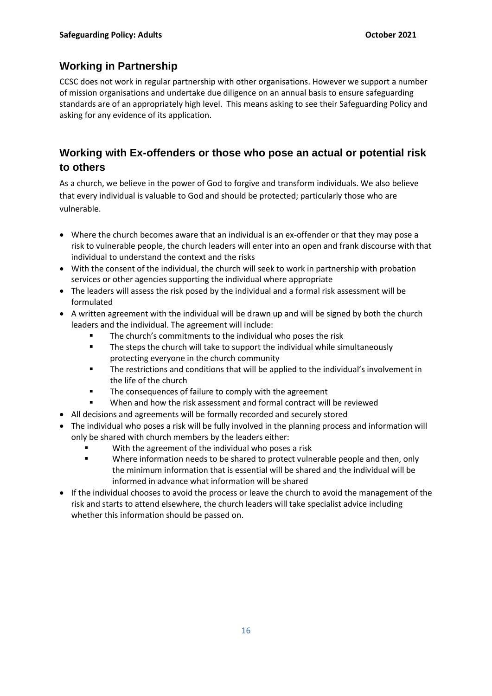# **Working in Partnership**

CCSC does not work in regular partnership with other organisations. However we support a number of mission organisations and undertake due diligence on an annual basis to ensure safeguarding standards are of an appropriately high level. This means asking to see their Safeguarding Policy and asking for any evidence of its application.

# **Working with Ex-offenders or those who pose an actual or potential risk to others**

As a church, we believe in the power of God to forgive and transform individuals. We also believe that every individual is valuable to God and should be protected; particularly those who are vulnerable.

- Where the church becomes aware that an individual is an ex-offender or that they may pose a risk to vulnerable people, the church leaders will enter into an open and frank discourse with that individual to understand the context and the risks
- With the consent of the individual, the church will seek to work in partnership with probation services or other agencies supporting the individual where appropriate
- The leaders will assess the risk posed by the individual and a formal risk assessment will be formulated
- A written agreement with the individual will be drawn up and will be signed by both the church leaders and the individual. The agreement will include:
	- The church's commitments to the individual who poses the risk
	- The steps the church will take to support the individual while simultaneously protecting everyone in the church community
	- The restrictions and conditions that will be applied to the individual's involvement in the life of the church
	- The consequences of failure to comply with the agreement
	- When and how the risk assessment and formal contract will be reviewed
- All decisions and agreements will be formally recorded and securely stored
- The individual who poses a risk will be fully involved in the planning process and information will only be shared with church members by the leaders either:
	- With the agreement of the individual who poses a risk
	- Where information needs to be shared to protect vulnerable people and then, only the minimum information that is essential will be shared and the individual will be informed in advance what information will be shared
- If the individual chooses to avoid the process or leave the church to avoid the management of the risk and starts to attend elsewhere, the church leaders will take specialist advice including whether this information should be passed on.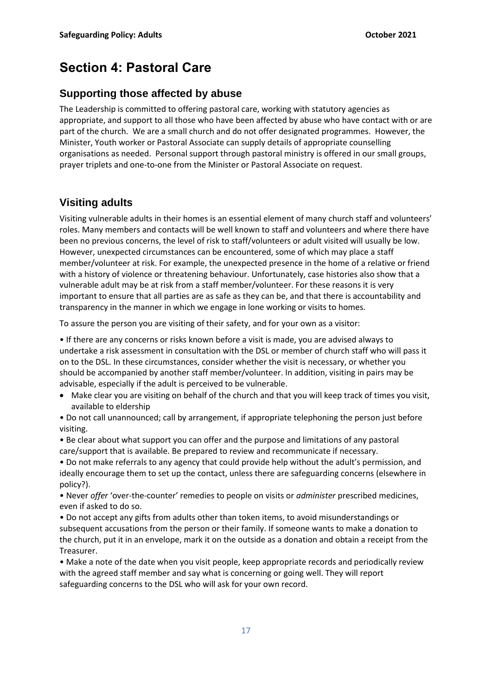# **Section 4: Pastoral Care**

## **Supporting those affected by abuse**

The Leadership is committed to offering pastoral care, working with statutory agencies as appropriate, and support to all those who have been affected by abuse who have contact with or are part of the church. We are a small church and do not offer designated programmes. However, the Minister, Youth worker or Pastoral Associate can supply details of appropriate counselling organisations as needed. Personal support through pastoral ministry is offered in our small groups, prayer triplets and one-to-one from the Minister or Pastoral Associate on request.

## **Visiting adults**

Visiting vulnerable adults in their homes is an essential element of many church staff and volunteers' roles. Many members and contacts will be well known to staff and volunteers and where there have been no previous concerns, the level of risk to staff/volunteers or adult visited will usually be low. However, unexpected circumstances can be encountered, some of which may place a staff member/volunteer at risk. For example, the unexpected presence in the home of a relative or friend with a history of violence or threatening behaviour. Unfortunately, case histories also show that a vulnerable adult may be at risk from a staff member/volunteer. For these reasons it is very important to ensure that all parties are as safe as they can be, and that there is accountability and transparency in the manner in which we engage in lone working or visits to homes.

To assure the person you are visiting of their safety, and for your own as a visitor:

• If there are any concerns or risks known before a visit is made, you are advised always to undertake a risk assessment in consultation with the DSL or member of church staff who will pass it on to the DSL. In these circumstances, consider whether the visit is necessary, or whether you should be accompanied by another staff member/volunteer. In addition, visiting in pairs may be advisable, especially if the adult is perceived to be vulnerable.

• Make clear you are visiting on behalf of the church and that you will keep track of times you visit, available to eldership

• Do not call unannounced; call by arrangement, if appropriate telephoning the person just before visiting.

• Be clear about what support you can offer and the purpose and limitations of any pastoral care/support that is available. Be prepared to review and recommunicate if necessary.

• Do not make referrals to any agency that could provide help without the adult's permission, and ideally encourage them to set up the contact, unless there are safeguarding concerns (elsewhere in policy?).

• Never *offer* 'over-the-counter' remedies to people on visits or *administer* prescribed medicines, even if asked to do so.

• Do not accept any gifts from adults other than token items, to avoid misunderstandings or subsequent accusations from the person or their family. If someone wants to make a donation to the church, put it in an envelope, mark it on the outside as a donation and obtain a receipt from the Treasurer.

• Make a note of the date when you visit people, keep appropriate records and periodically review with the agreed staff member and say what is concerning or going well. They will report safeguarding concerns to the DSL who will ask for your own record.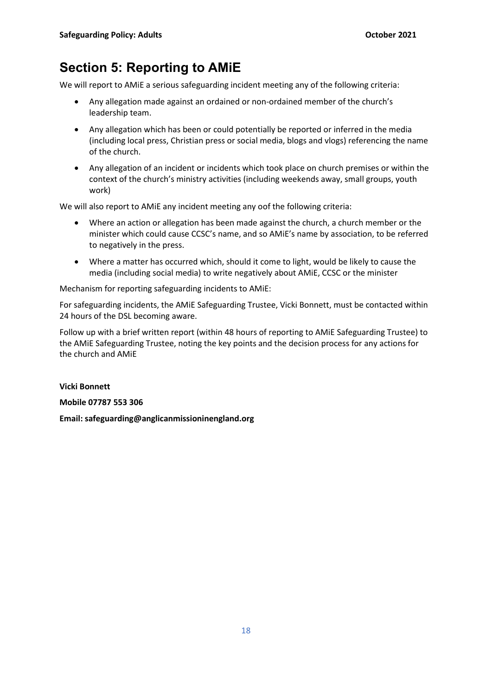# **Section 5: Reporting to AMiE**

We will report to AMiE a serious safeguarding incident meeting any of the following criteria:

- Any allegation made against an ordained or non-ordained member of the church's leadership team.
- Any allegation which has been or could potentially be reported or inferred in the media (including local press, Christian press or social media, blogs and vlogs) referencing the name of the church.
- Any allegation of an incident or incidents which took place on church premises or within the context of the church's ministry activities (including weekends away, small groups, youth work)

We will also report to AMiE any incident meeting any oof the following criteria:

- Where an action or allegation has been made against the church, a church member or the minister which could cause CCSC's name, and so AMiE's name by association, to be referred to negatively in the press.
- Where a matter has occurred which, should it come to light, would be likely to cause the media (including social media) to write negatively about AMiE, CCSC or the minister

Mechanism for reporting safeguarding incidents to AMiE:

For safeguarding incidents, the AMiE Safeguarding Trustee, Vicki Bonnett, must be contacted within 24 hours of the DSL becoming aware.

Follow up with a brief written report (within 48 hours of reporting to AMiE Safeguarding Trustee) to the AMiE Safeguarding Trustee, noting the key points and the decision process for any actions for the church and AMiE

**Vicki Bonnett**

**Mobile 07787 553 306**

**Email: safeguarding@anglicanmissioninengland.org**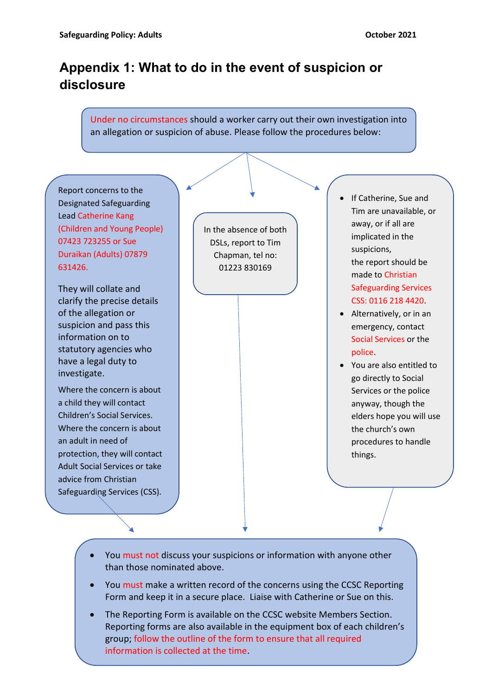# **Appendix 1: What to do in the event of suspicion or disclosure**

## Under no circumstances should a worker carry out their own investigation into an allegation or suspicion of abuse. Please follow the procedures below:



- You must not discuss your suspicions or information with anyone other than those nominated above.
- You must make a written record of the concerns using the CCSC Reporting Form and keep it in a secure place. Liaise with Catherine or Sue on this.
- Reporting forms are also available in the equipment box of each children's • The Reporting Form is available on the CCSC website Members Section. group; follow the outline of the form to ensure that all required information is collected at the time.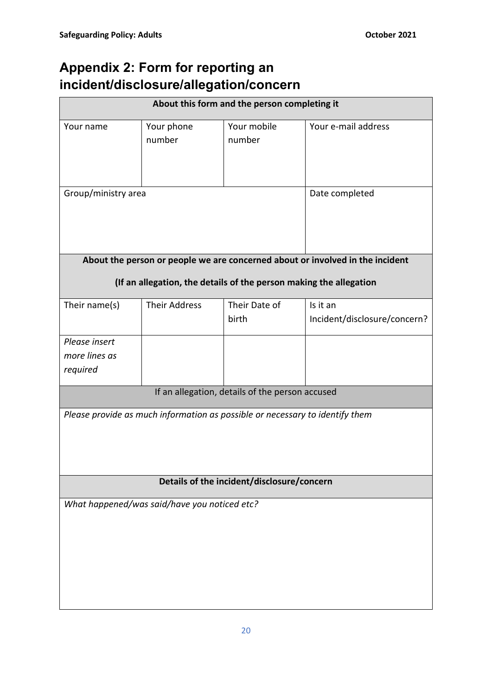# **Appendix 2: Form for reporting an incident/disclosure/allegation/concern**

| About this form and the person completing it                                                                                                        |                                                 |                        |                                          |  |
|-----------------------------------------------------------------------------------------------------------------------------------------------------|-------------------------------------------------|------------------------|------------------------------------------|--|
| Your name                                                                                                                                           | Your phone<br>number                            | Your mobile<br>number  | Your e-mail address                      |  |
| Group/ministry area                                                                                                                                 |                                                 |                        | Date completed                           |  |
| About the person or people we are concerned about or involved in the incident<br>(If an allegation, the details of the person making the allegation |                                                 |                        |                                          |  |
| Their name(s)                                                                                                                                       | <b>Their Address</b>                            | Their Date of<br>birth | Is it an<br>Incident/disclosure/concern? |  |
| Please insert<br>more lines as<br>required                                                                                                          |                                                 |                        |                                          |  |
|                                                                                                                                                     | If an allegation, details of the person accused |                        |                                          |  |
| Please provide as much information as possible or necessary to identify them                                                                        |                                                 |                        |                                          |  |
| Details of the incident/disclosure/concern                                                                                                          |                                                 |                        |                                          |  |
|                                                                                                                                                     | What happened/was said/have you noticed etc?    |                        |                                          |  |